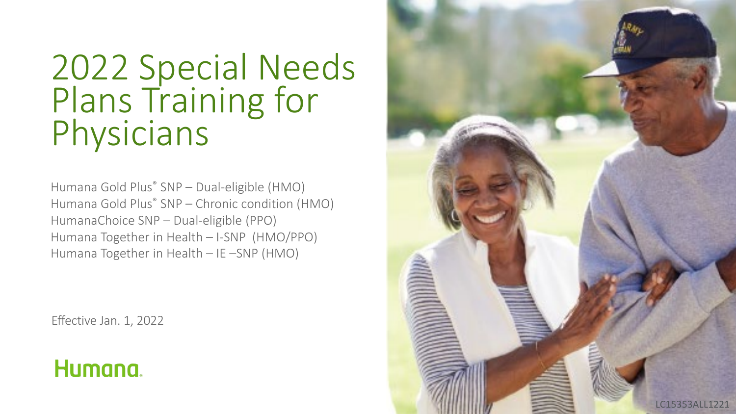# 2022 Special Needs Plans Training for<br>Physicians

Humana Gold Plus® SNP – Dual-eligible (HMO) Humana Gold Plus® SNP – Chronic condition (HMO) HumanaChoice SNP – Dual-eligible (PPO) Humana Together in Health – I-SNP (HMO/PPO) Humana Together in Health – IE –SNP (HMO)

Effective Jan. 1, 2022

### Humana.

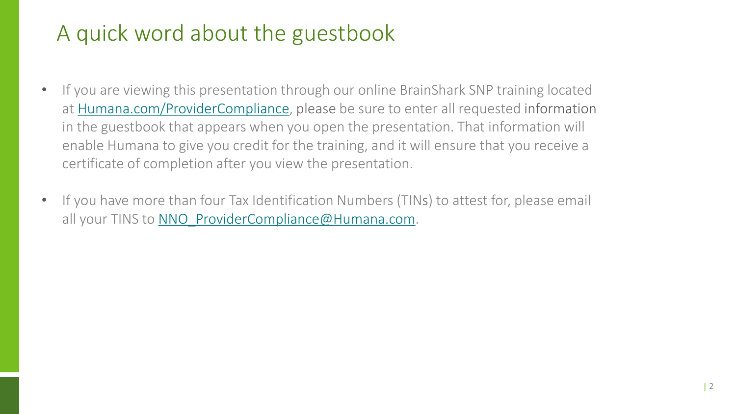# A quick word about the guestbook

- If you are viewing this presentation through our online BrainShark SNP training located at [Humana.com/ProviderCompliance](http://www.humana.com/providercompliance), please be sure to enter all requested information in the guestbook that appears when you open the presentation. That information will enable Humana to give you credit for the training, and it will ensure that you receive a certificate of completion after you view the presentation.
- If you have more than four Tax Identification Numbers (TINs) to attest for, please email all your TINS to NNO ProviderCompliance@Humana.com.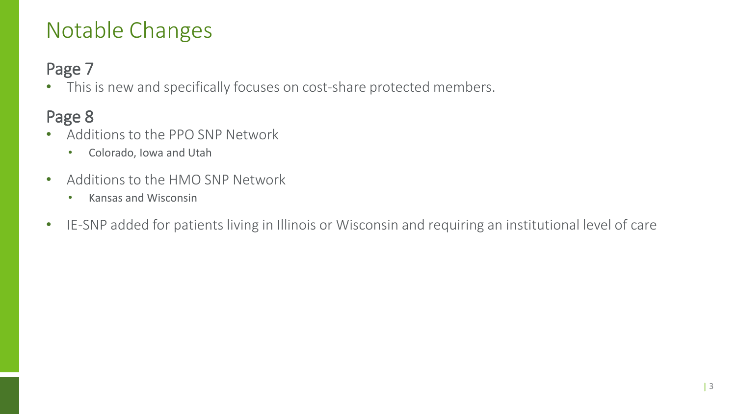# Notable Changes

#### Page 7

• This is new and specifically focuses on cost-share protected members.

#### Page 8

- Additions to the PPO SNP Network
	- Colorado, Iowa and Utah
- Additions to the HMO SNP Network
	- Kansas and Wisconsin
- IE-SNP added for patients living in Illinois or Wisconsin and requiring an institutional level of care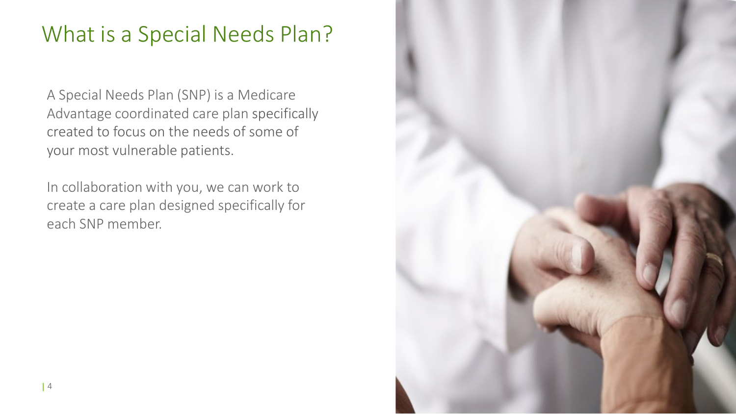# What is a Special Needs Plan?

A Special Needs Plan (SNP) is a Medicare Advantage coordinated care plan specifically created to focus on the needs of some of your most vulnerable patients.

In collaboration with you, we can work to create a care plan designed specifically for each SNP member.

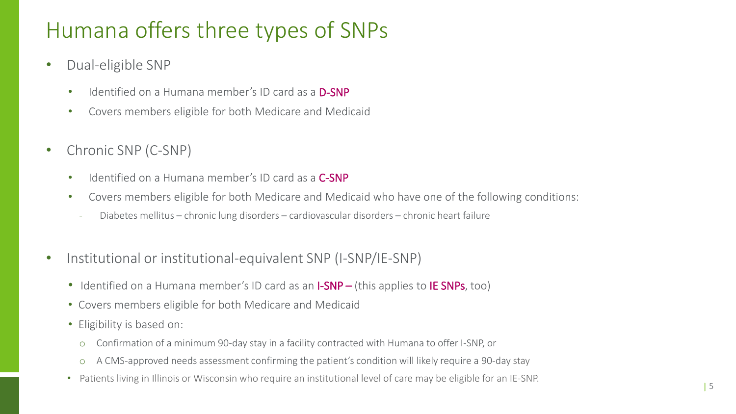# Humana offers three types of SNPs

- Dual-eligible SNP
	- Identified on a Humana member's ID card as a **D-SNP**
	- Covers members eligible for both Medicare and Medicaid
- Chronic SNP (C-SNP)
	- Identified on a Humana member's ID card as a **C-SNP**
	- Covers members eligible for both Medicare and Medicaid who have one of the following conditions:
		- Diabetes mellitus chronic lung disorders cardiovascular disorders chronic heart failure
- Institutional or institutional-equivalent SNP (I-SNP/IE-SNP)
	- Identified on a Humana member's ID card as an **I-SNP** (this applies to **IE SNPs**, too)
	- Covers members eligible for both Medicare and Medicaid
	- Eligibility is based on:
		- o Confirmation of a minimum 90-day stay in a facility contracted with Humana to offer I-SNP, or
		- o A CMS-approved needs assessment confirming the patient's condition will likely require a 90-day stay
	- Patients living in Illinois or Wisconsin who require an institutional level of care may be eligible for an IE-SNP.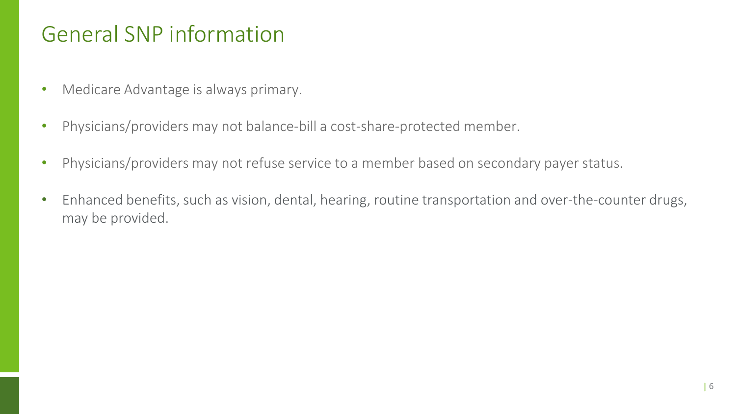#### General SNP information

- Medicare Advantage is always primary.
- Physicians/providers may not balance-bill a cost-share-protected member.
- Physicians/providers may not refuse service to a member based on secondary payer status.
- Enhanced benefits, such as vision, dental, hearing, routine transportation and over-the-counter drugs, may be provided.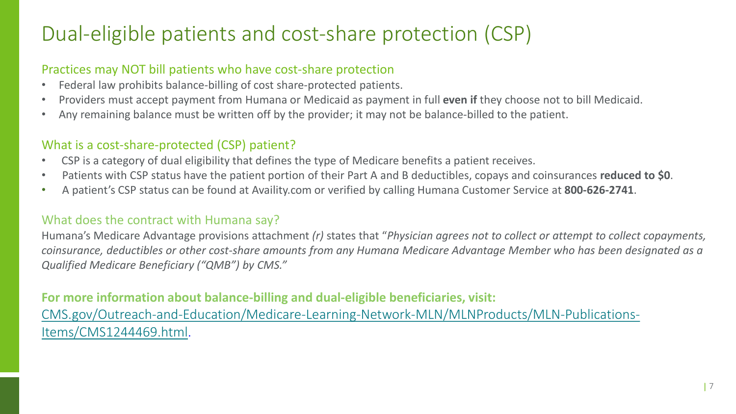### Dual-eligible patients and cost-share protection (CSP)

#### Practices may NOT bill patients who have cost-share protection

- Federal law prohibits balance-billing of cost share-protected patients.
- Providers must accept payment from Humana or Medicaid as payment in full **even if** they choose not to bill Medicaid.
- Any remaining balance must be written off by the provider; it may not be balance-billed to the patient.

#### What is a cost-share-protected (CSP) patient?

- CSP is a category of dual eligibility that defines the type of Medicare benefits a patient receives.
- Patients with CSP status have the patient portion of their Part A and B deductibles, copays and coinsurances **reduced to \$0**.
- A patient's CSP status can be found at Availity.com or verified by calling Humana Customer Service at **800-626-2741**.

#### What does the contract with Humana say?

Humana's Medicare Advantage provisions attachment *(r)* states that "*Physician agrees not to collect or attempt to collect copayments, coinsurance, deductibles or other cost-share amounts from any Humana Medicare Advantage Member who has been designated as a Qualified Medicare Beneficiary ("QMB") by CMS."* 

#### **For more information about balance-billing and dual-eligible beneficiaries, visit:** [CMS.gov/Outreach-and-Education/Medicare-Learning-Network-MLN/MLNProducts/MLN-Publications-](https://www.cms.gov/Outreach-and-Education/Medicare-Learning-Network-MLN/MLNProducts/MLN-Publications-Items/CMS1244469.html)Items/CMS1244469.html.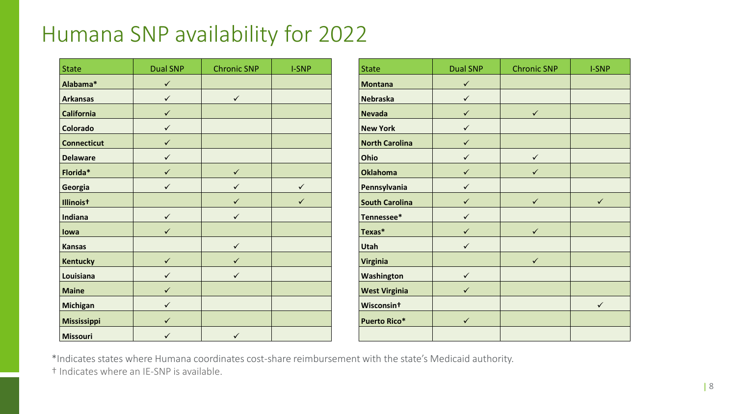# Humana SNP availability for 2022

| <b>State</b>       | <b>Dual SNP</b> | <b>Chronic SNP</b> | <b>I-SNP</b> | <b>State</b>           | <b>Dual SNP</b> | <b>Chronic SNP</b> |
|--------------------|-----------------|--------------------|--------------|------------------------|-----------------|--------------------|
| Alabama*           | $\checkmark$    |                    |              | <b>Montana</b>         | $\checkmark$    |                    |
| <b>Arkansas</b>    | $\checkmark$    | $\checkmark$       |              | <b>Nebraska</b>        | $\checkmark$    |                    |
| <b>California</b>  | $\checkmark$    |                    |              | <b>Nevada</b>          | $\checkmark$    | $\checkmark$       |
| Colorado           | $\checkmark$    |                    |              | <b>New York</b>        | $\checkmark$    |                    |
| <b>Connecticut</b> | $\checkmark$    |                    |              | <b>North Carolina</b>  | $\checkmark$    |                    |
| <b>Delaware</b>    | $\checkmark$    |                    |              | Ohio                   | $\checkmark$    | $\checkmark$       |
| Florida*           | $\checkmark$    | $\checkmark$       |              | <b>Oklahoma</b>        | $\checkmark$    | $\checkmark$       |
| Georgia            | $\checkmark$    | $\checkmark$       | $\checkmark$ | Pennsylvania           | $\checkmark$    |                    |
| Illinoist          |                 | $\checkmark$       | $\checkmark$ | <b>South Carolina</b>  | $\checkmark$    | $\checkmark$       |
| Indiana            | $\checkmark$    | $\checkmark$       |              | Tennessee*             | $\checkmark$    |                    |
| lowa               | $\checkmark$    |                    |              | Texas*                 | $\checkmark$    | $\checkmark$       |
| <b>Kansas</b>      |                 | $\checkmark$       |              | <b>Utah</b>            | $\checkmark$    |                    |
| <b>Kentucky</b>    | $\checkmark$    | $\checkmark$       |              | <b>Virginia</b>        |                 | $\checkmark$       |
| Louisiana          | $\checkmark$    | $\checkmark$       |              | Washington             | $\checkmark$    |                    |
| <b>Maine</b>       | $\checkmark$    |                    |              | <b>West Virginia</b>   | $\checkmark$    |                    |
| <b>Michigan</b>    | $\checkmark$    |                    |              | Wisconsin <sup>+</sup> |                 |                    |
| Mississippi        | $\checkmark$    |                    |              | <b>Puerto Rico*</b>    | $\checkmark$    |                    |
| <b>Missouri</b>    | $\checkmark$    | $\checkmark$       |              |                        |                 |                    |

| <b>State</b>           | <b>Dual SNP</b> | <b>Chronic SNP</b> | <b>I-SNP</b> |
|------------------------|-----------------|--------------------|--------------|
| <b>Montana</b>         | $\checkmark$    |                    |              |
| <b>Nebraska</b>        | $\checkmark$    |                    |              |
| <b>Nevada</b>          | $\checkmark$    | $\checkmark$       |              |
| <b>New York</b>        | $\checkmark$    |                    |              |
| <b>North Carolina</b>  | $\checkmark$    |                    |              |
| Ohio                   | $\checkmark$    | $\checkmark$       |              |
| <b>Oklahoma</b>        | $\checkmark$    | $\checkmark$       |              |
| Pennsylvania           | $\checkmark$    |                    |              |
| <b>South Carolina</b>  | $\checkmark$    | $\checkmark$       | $\checkmark$ |
| Tennessee*             | $\checkmark$    |                    |              |
| Texas*                 | ✓               | $\checkmark$       |              |
| <b>Utah</b>            | ✓               |                    |              |
| <b>Virginia</b>        |                 | $\checkmark$       |              |
| Washington             | $\checkmark$    |                    |              |
| <b>West Virginia</b>   |                 |                    |              |
| Wisconsin <sup>t</sup> |                 |                    | $\checkmark$ |
| <b>Puerto Rico*</b>    | $\checkmark$    |                    |              |
|                        |                 |                    |              |

\*Indicates states where Humana coordinates cost-share reimbursement with the state's Medicaid authority.

† Indicates where an IE-SNP is available.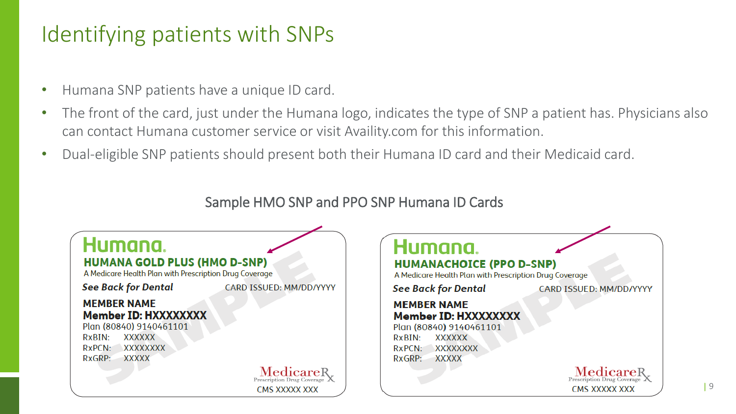# Identifying patients with SNPs

- Humana SNP patients have a unique ID card.
- The front of the card, just under the Humana logo, indicates the type of SNP a patient has. Physicians also can contact Humana customer service or visit Availity.com for this information.
- Dual-eligible SNP patients should present both their Humana ID card and their Medicaid card.

#### Sample HMO SNP and PPO SNP Humana ID Cards

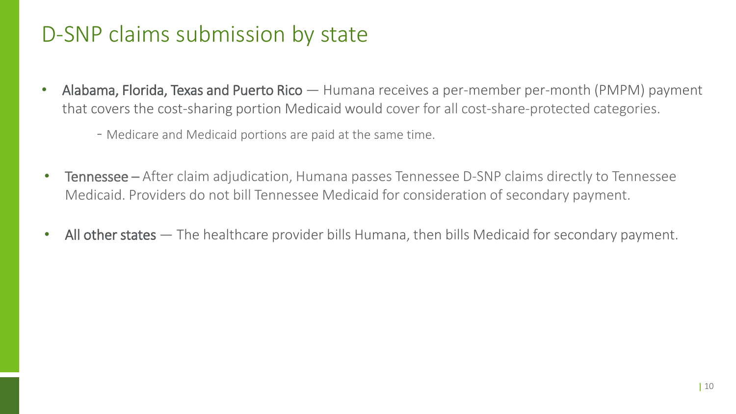### D-SNP claims submission by state

- Alabama, Florida, Texas and Puerto Rico Humana receives a per-member per-month (PMPM) payment that covers the cost-sharing portion Medicaid would cover for all cost-share-protected categories.
	- Medicare and Medicaid portions are paid at the same time.
- Tennessee After claim adjudication, Humana passes Tennessee D-SNP claims directly to Tennessee Medicaid. Providers do not bill Tennessee Medicaid for consideration of secondary payment.
- All other states The healthcare provider bills Humana, then bills Medicaid for secondary payment.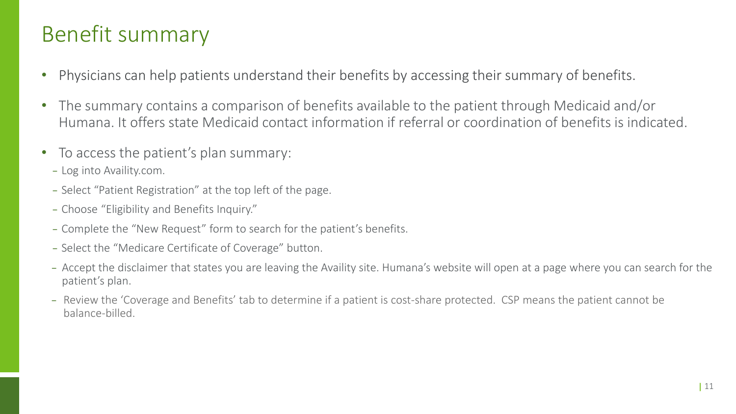### Benefit summary

- Physicians can help patients understand their benefits by accessing their summary of benefits.
- The summary contains a comparison of benefits available to the patient through Medicaid and/or Humana. It offers state Medicaid contact information if referral or coordination of benefits is indicated.
- To access the patient's plan summary:
	- − Log into Availity.com.
	- − Select "Patient Registration" at the top left of the page.
	- − Choose "Eligibility and Benefits Inquiry."
	- − Complete the "New Request" form to search for the patient's benefits.
	- − Select the "Medicare Certificate of Coverage" button.
	- − Accept the disclaimer that states you are leaving the Availity site. Humana's website will open at a page where you can search for the patient's plan.
	- − Review the 'Coverage and Benefits' tab to determine if a patient is cost-share protected. CSP means the patient cannot be balance-billed.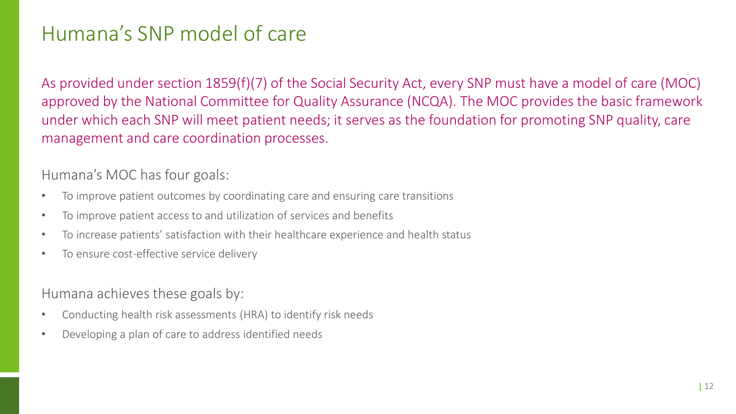#### Humana's SNP model of care

As provided under section 1859(f)(7) of the Social Security Act, every SNP must have a model of care (MOC) approved by the National Committee for Quality Assurance (NCQA). The MOC provides the basic framework under which each SNP will meet patient needs; it serves as the foundation for promoting SNP quality, care management and care coordination processes.

Humana's MOC has four goals:

- To improve patient outcomes by coordinating care and ensuring care transitions
- To improve patient access to and utilization of services and benefits
- To increase patients' satisfaction with their healthcare experience and health status
- To ensure cost-effective service delivery

Humana achieves these goals by:

- Conducting health risk assessments (HRA) to identify risk needs
- Developing a plan of care to address identified needs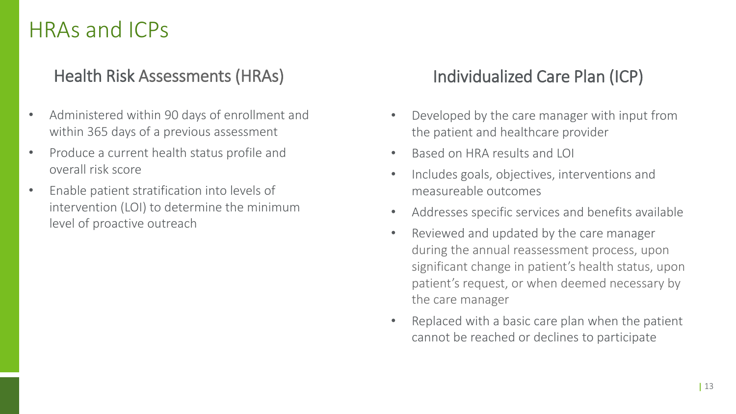#### HRAs and ICPs

#### Health Risk Assessments (HRAs)

- Administered within 90 days of enrollment and within 365 days of a previous assessment
- Produce a current health status profile and overall risk score
- Enable patient stratification into levels of intervention (LOI) to determine the minimum level of proactive outreach

#### Individualized Care Plan (ICP)

- Developed by the care manager with input from the patient and healthcare provider
- Based on HRA results and LOI
- Includes goals, objectives, interventions and measureable outcomes
- Addresses specific services and benefits available
- Reviewed and updated by the care manager during the annual reassessment process, upon significant change in patient's health status, upon patient's request, or when deemed necessary by the care manager
- Replaced with a basic care plan when the patient cannot be reached or declines to participate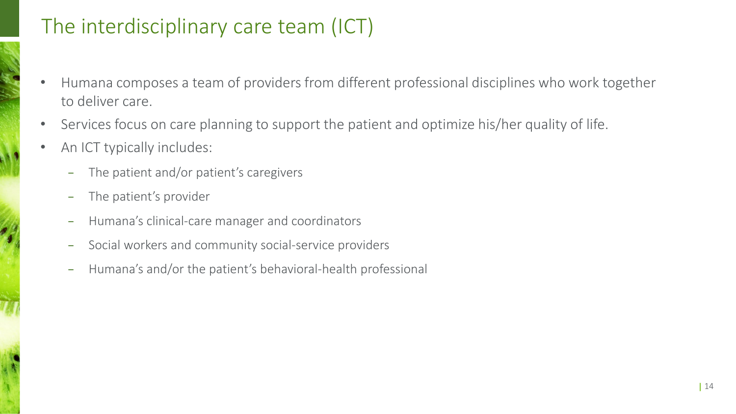#### The interdisciplinary care team (ICT)

- Humana composes a team of providers from different professional disciplines who work together to deliver care.
- Services focus on care planning to support the patient and optimize his/her quality of life.
- An ICT typically includes:
	- The patient and/or patient's caregivers
	- The patient's provider
	- Humana's clinical-care manager and coordinators
	- Social workers and community social-service providers
	- − Humana's and/or the patient's behavioral-health professional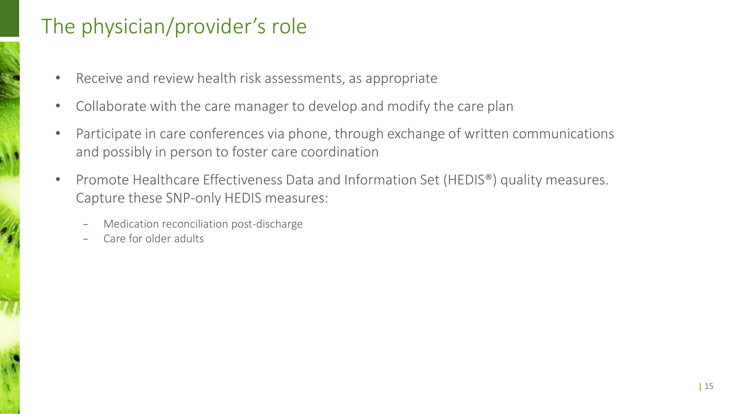#### The physician/provider's role

- Receive and review health risk assessments, as appropriate
- Collaborate with the care manager to develop and modify the care plan
- Participate in care conferences via phone, through exchange of written communications and possibly in person to foster care coordination
- Promote Healthcare Effectiveness Data and Information Set (HEDIS®) quality measures. Capture these SNP-only HEDIS measures:
	- − Medication reconciliation post-discharge
	- Care for older adults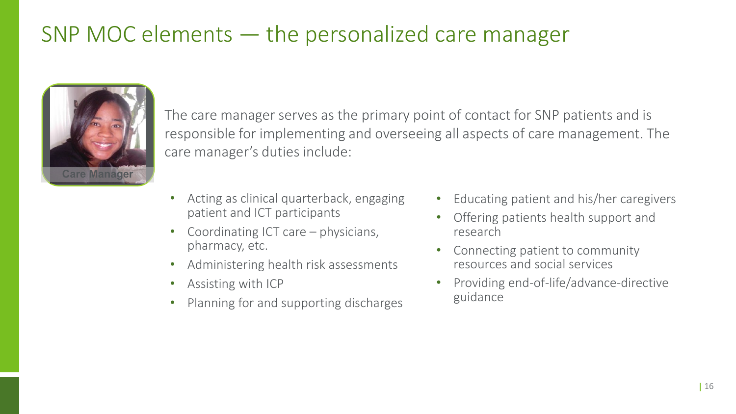### SNP MOC elements — the personalized care manager



The care manager serves as the primary point of contact for SNP patients and is responsible for implementing and overseeing all aspects of care management. The care manager's duties include:

- Acting as clinical quarterback, engaging patient and ICT participants
- Coordinating ICT care physicians, pharmacy, etc.
- Administering health risk assessments
- Assisting with ICP
- Planning for and supporting discharges
- Educating patient and his/her caregivers
- Offering patients health support and research
- Connecting patient to community resources and social services
- Providing end-of-life/advance-directive guidance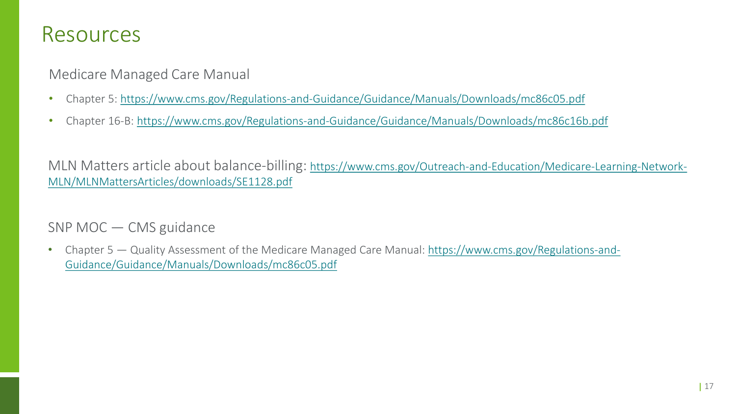#### Resources

Medicare Managed Care Manual

- Chapter 5: <https://www.cms.gov/Regulations-and-Guidance/Guidance/Manuals/Downloads/mc86c05.pdf>
- Chapter 16-B: <https://www.cms.gov/Regulations-and-Guidance/Guidance/Manuals/Downloads/mc86c16b.pdf>

[MLN Matters article about balance-billing: https://www.cms.gov/Outreach-and-Education/Medicare-Learning-Network-](https://www.cms.gov/Outreach-and-Education/Medicare-Learning-Network-MLN/MLNMattersArticles/downloads/SE1128.pdf)MLN/MLNMattersArticles/downloads/SE1128.pdf

SNP MOC — CMS guidance

• Chapter 5 — [Quality Assessment of the Medicare Managed Care Manual: https://www.cms.gov/Regulations-and-](https://www.cms.gov/Regulations-and-Guidance/Guidance/Manuals/Downloads/mc86c05.pdf)Guidance/Guidance/Manuals/Downloads/mc86c05.pdf